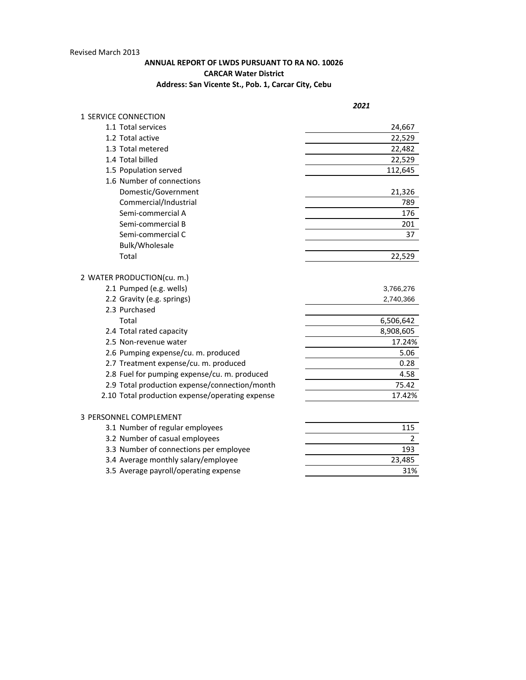## Revised March 2013

## **ANNUAL REPORT OF LWDS PURSUANT TO RA NO. 10026 CARCAR Water District Address: San Vicente St., Pob. 1, Carcar City, Cebu**

| 1 SERVICE CONNECTION<br>1.1 Total services<br>24,667<br>1.2 Total active<br>22,529<br>1.3 Total metered<br>22,482<br>1.4 Total billed<br>22,529<br>1.5 Population served<br>112,645<br>1.6 Number of connections<br>Domestic/Government<br>21,326<br>Commercial/Industrial<br>789<br>Semi-commercial A<br>176<br>Semi-commercial B<br>201<br>Semi-commercial C<br>37<br>Bulk/Wholesale<br>Total<br>22,529<br>2 WATER PRODUCTION(cu. m.)<br>2.1 Pumped (e.g. wells)<br>3,766,276<br>2.2 Gravity (e.g. springs)<br>2,740,366<br>2.3 Purchased<br>Total<br>6,506,642<br>8,908,605<br>2.4 Total rated capacity<br>17.24%<br>2.5 Non-revenue water<br>2.6 Pumping expense/cu. m. produced<br>5.06<br>0.28<br>2.7 Treatment expense/cu. m. produced<br>2.8 Fuel for pumping expense/cu. m. produced<br>4.58<br>75.42<br>2.9 Total production expense/connection/month<br>2.10 Total production expense/operating expense<br>17.42%<br>3 PERSONNEL COMPLEMENT<br>3.1 Number of regular employees<br>115<br>3.2 Number of casual employees<br>2<br>3.3 Number of connections per employee<br>193<br>3.4 Average monthly salary/employee<br>23,485<br>3.5 Average payroll/operating expense<br>31% | 2021 |
|-------------------------------------------------------------------------------------------------------------------------------------------------------------------------------------------------------------------------------------------------------------------------------------------------------------------------------------------------------------------------------------------------------------------------------------------------------------------------------------------------------------------------------------------------------------------------------------------------------------------------------------------------------------------------------------------------------------------------------------------------------------------------------------------------------------------------------------------------------------------------------------------------------------------------------------------------------------------------------------------------------------------------------------------------------------------------------------------------------------------------------------------------------------------------------------------|------|
|                                                                                                                                                                                                                                                                                                                                                                                                                                                                                                                                                                                                                                                                                                                                                                                                                                                                                                                                                                                                                                                                                                                                                                                           |      |
|                                                                                                                                                                                                                                                                                                                                                                                                                                                                                                                                                                                                                                                                                                                                                                                                                                                                                                                                                                                                                                                                                                                                                                                           |      |
|                                                                                                                                                                                                                                                                                                                                                                                                                                                                                                                                                                                                                                                                                                                                                                                                                                                                                                                                                                                                                                                                                                                                                                                           |      |
|                                                                                                                                                                                                                                                                                                                                                                                                                                                                                                                                                                                                                                                                                                                                                                                                                                                                                                                                                                                                                                                                                                                                                                                           |      |
|                                                                                                                                                                                                                                                                                                                                                                                                                                                                                                                                                                                                                                                                                                                                                                                                                                                                                                                                                                                                                                                                                                                                                                                           |      |
|                                                                                                                                                                                                                                                                                                                                                                                                                                                                                                                                                                                                                                                                                                                                                                                                                                                                                                                                                                                                                                                                                                                                                                                           |      |
|                                                                                                                                                                                                                                                                                                                                                                                                                                                                                                                                                                                                                                                                                                                                                                                                                                                                                                                                                                                                                                                                                                                                                                                           |      |
|                                                                                                                                                                                                                                                                                                                                                                                                                                                                                                                                                                                                                                                                                                                                                                                                                                                                                                                                                                                                                                                                                                                                                                                           |      |
|                                                                                                                                                                                                                                                                                                                                                                                                                                                                                                                                                                                                                                                                                                                                                                                                                                                                                                                                                                                                                                                                                                                                                                                           |      |
|                                                                                                                                                                                                                                                                                                                                                                                                                                                                                                                                                                                                                                                                                                                                                                                                                                                                                                                                                                                                                                                                                                                                                                                           |      |
|                                                                                                                                                                                                                                                                                                                                                                                                                                                                                                                                                                                                                                                                                                                                                                                                                                                                                                                                                                                                                                                                                                                                                                                           |      |
|                                                                                                                                                                                                                                                                                                                                                                                                                                                                                                                                                                                                                                                                                                                                                                                                                                                                                                                                                                                                                                                                                                                                                                                           |      |
|                                                                                                                                                                                                                                                                                                                                                                                                                                                                                                                                                                                                                                                                                                                                                                                                                                                                                                                                                                                                                                                                                                                                                                                           |      |
|                                                                                                                                                                                                                                                                                                                                                                                                                                                                                                                                                                                                                                                                                                                                                                                                                                                                                                                                                                                                                                                                                                                                                                                           |      |
|                                                                                                                                                                                                                                                                                                                                                                                                                                                                                                                                                                                                                                                                                                                                                                                                                                                                                                                                                                                                                                                                                                                                                                                           |      |
|                                                                                                                                                                                                                                                                                                                                                                                                                                                                                                                                                                                                                                                                                                                                                                                                                                                                                                                                                                                                                                                                                                                                                                                           |      |
|                                                                                                                                                                                                                                                                                                                                                                                                                                                                                                                                                                                                                                                                                                                                                                                                                                                                                                                                                                                                                                                                                                                                                                                           |      |
|                                                                                                                                                                                                                                                                                                                                                                                                                                                                                                                                                                                                                                                                                                                                                                                                                                                                                                                                                                                                                                                                                                                                                                                           |      |
|                                                                                                                                                                                                                                                                                                                                                                                                                                                                                                                                                                                                                                                                                                                                                                                                                                                                                                                                                                                                                                                                                                                                                                                           |      |
|                                                                                                                                                                                                                                                                                                                                                                                                                                                                                                                                                                                                                                                                                                                                                                                                                                                                                                                                                                                                                                                                                                                                                                                           |      |
|                                                                                                                                                                                                                                                                                                                                                                                                                                                                                                                                                                                                                                                                                                                                                                                                                                                                                                                                                                                                                                                                                                                                                                                           |      |
|                                                                                                                                                                                                                                                                                                                                                                                                                                                                                                                                                                                                                                                                                                                                                                                                                                                                                                                                                                                                                                                                                                                                                                                           |      |
|                                                                                                                                                                                                                                                                                                                                                                                                                                                                                                                                                                                                                                                                                                                                                                                                                                                                                                                                                                                                                                                                                                                                                                                           |      |
|                                                                                                                                                                                                                                                                                                                                                                                                                                                                                                                                                                                                                                                                                                                                                                                                                                                                                                                                                                                                                                                                                                                                                                                           |      |
|                                                                                                                                                                                                                                                                                                                                                                                                                                                                                                                                                                                                                                                                                                                                                                                                                                                                                                                                                                                                                                                                                                                                                                                           |      |
|                                                                                                                                                                                                                                                                                                                                                                                                                                                                                                                                                                                                                                                                                                                                                                                                                                                                                                                                                                                                                                                                                                                                                                                           |      |
|                                                                                                                                                                                                                                                                                                                                                                                                                                                                                                                                                                                                                                                                                                                                                                                                                                                                                                                                                                                                                                                                                                                                                                                           |      |
|                                                                                                                                                                                                                                                                                                                                                                                                                                                                                                                                                                                                                                                                                                                                                                                                                                                                                                                                                                                                                                                                                                                                                                                           |      |
|                                                                                                                                                                                                                                                                                                                                                                                                                                                                                                                                                                                                                                                                                                                                                                                                                                                                                                                                                                                                                                                                                                                                                                                           |      |
|                                                                                                                                                                                                                                                                                                                                                                                                                                                                                                                                                                                                                                                                                                                                                                                                                                                                                                                                                                                                                                                                                                                                                                                           |      |
|                                                                                                                                                                                                                                                                                                                                                                                                                                                                                                                                                                                                                                                                                                                                                                                                                                                                                                                                                                                                                                                                                                                                                                                           |      |
|                                                                                                                                                                                                                                                                                                                                                                                                                                                                                                                                                                                                                                                                                                                                                                                                                                                                                                                                                                                                                                                                                                                                                                                           |      |